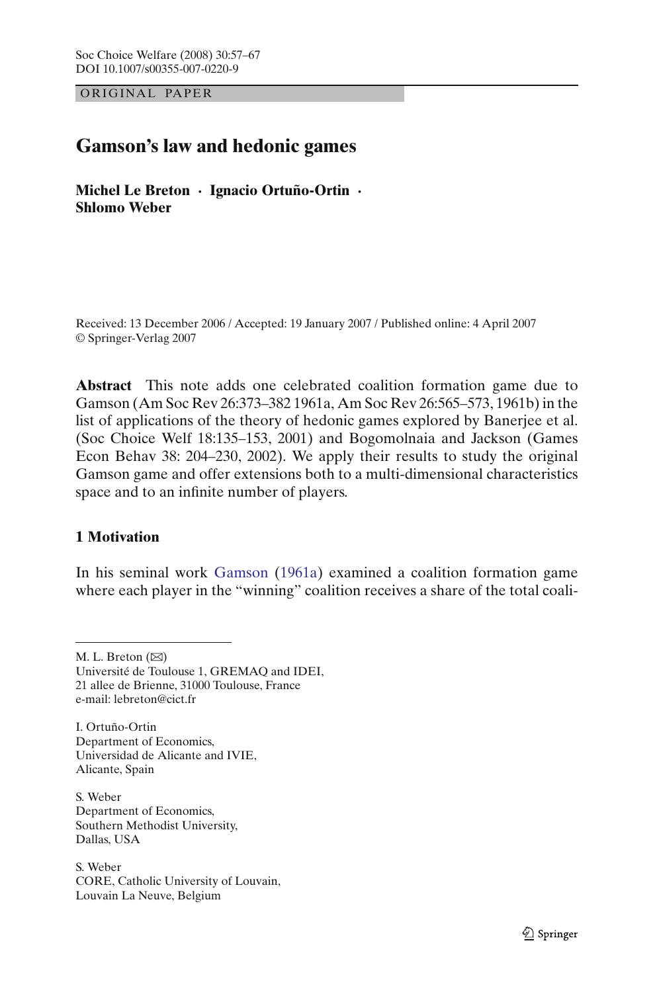OR IG INAL PAPER

# **Gamson's law and hedonic games**

**Michel Le Breton · Ignacio Ortuño-Ortin · Shlomo Weber**

Received: 13 December 2006 / Accepted: 19 January 2007 / Published online: 4 April 2007 © Springer-Verlag 2007

**Abstract** This note adds one celebrated coalition formation game due to Gamson (Am Soc Rev 26:373–382 1961a, Am Soc Rev 26:565–573, 1961b) in the list of applications of the theory of hedonic games explored by Banerjee et al. (Soc Choice Welf 18:135–153, 2001) and Bogomolnaia and Jackson (Games Econ Behav 38: 204–230, 2002). We apply their results to study the original Gamson game and offer extensions both to a multi-dimensional characteristics space and to an infinite number of players.

## **1 Motivation**

In his seminal work [Gamson](#page-10-0) [\(1961a](#page-10-0)) examined a coalition formation game where each player in the "winning" coalition receives a share of the total coali-

M. L. Breton  $(\boxtimes)$ 

Université de Toulouse 1, GREMAQ and IDEI, 21 allee de Brienne, 31000 Toulouse, France e-mail: lebreton@cict.fr

I. Ortuño-Ortin Department of Economics, Universidad de Alicante and IVIE, Alicante, Spain

S. Weber Department of Economics, Southern Methodist University, Dallas, USA

S. Weber CORE, Catholic University of Louvain, Louvain La Neuve, Belgium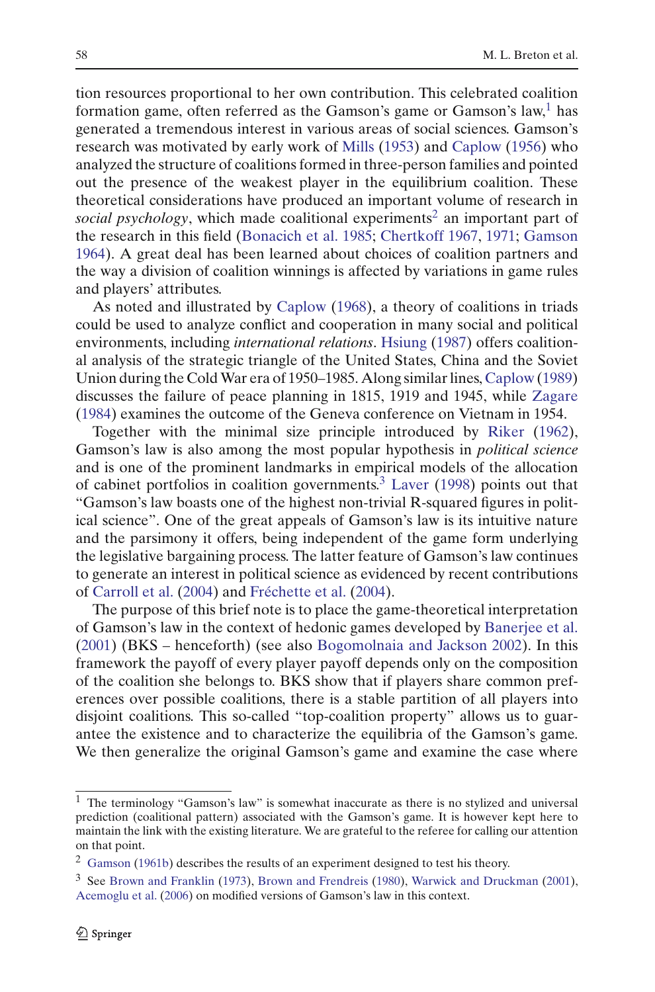tion resources proportional to her own contribution. This celebrated coalition formation game, often referred as the Gamson's game or Gamson's law,<sup>[1](#page-1-0)</sup> has generated a tremendous interest in various areas of social sciences. Gamson's research was motivated by early work of [Mills](#page-10-1) [\(1953\)](#page-10-1) and [Caplow](#page-9-0) [\(1956](#page-9-0)) who analyzed the structure of coalitions formed in three-person families and pointed out the presence of the weakest player in the equilibrium coalition. These theoretical considerations have produced an important volume of research in *social psychology*, which made coalitional experiments<sup>[2](#page-1-1)</sup> an important part of the research in this field [\(Bonacich et al. 1985;](#page-9-1) [Chertkoff 1967,](#page-10-2) [1971](#page-10-3); [Gamson](#page-10-4) [1964\)](#page-10-4). A great deal has been learned about choices of coalition partners and the way a division of coalition winnings is affected by variations in game rules and players' attributes.

As noted and illustrated by [Caplow](#page-9-2) [\(1968\)](#page-9-2), a theory of coalitions in triads could be used to analyze conflict and cooperation in many social and political environments, including *international relations*. [Hsiung](#page-10-5) [\(1987](#page-10-5)) offers coalitional analysis of the strategic triangle of the United States, China and the Soviet Union during the ColdWar era of 1950–1985. Along similar lines, [Caplow](#page-9-3) [\(1989](#page-9-3)) discusses the failure of peace planning in 1815, 1919 and 1945, while [Zagare](#page-10-6) [\(1984\)](#page-10-6) examines the outcome of the Geneva conference on Vietnam in 1954.

Together with the minimal size principle introduced by [Riker](#page-10-7) [\(1962\)](#page-10-7), Gamson's law is also among the most popular hypothesis in *political science* and is one of the prominent landmarks in empirical models of the allocation of cabinet portfolios in coalition governments.<sup>[3](#page-1-2)</sup> [Laver](#page-10-8) [\(1998](#page-10-8)) points out that "Gamson's law boasts one of the highest non-trivial R-squared figures in political science". One of the great appeals of Gamson's law is its intuitive nature and the parsimony it offers, being independent of the game form underlying the legislative bargaining process. The latter feature of Gamson's law continues to generate an interest in political science as evidenced by recent contributions of [Carroll et al.](#page-10-9) [\(2004\)](#page-10-9) and [Fréchette et al.](#page-10-10) [\(2004\)](#page-10-10).

The purpose of this brief note is to place the game-theoretical interpretation of Gamson's law in the context of hedonic games developed by [Banerjee et al.](#page-9-4) [\(2001\)](#page-9-4) (BKS – henceforth) (see also [Bogomolnaia and Jackson 2002](#page-9-5)). In this framework the payoff of every player payoff depends only on the composition of the coalition she belongs to. BKS show that if players share common preferences over possible coalitions, there is a stable partition of all players into disjoint coalitions. This so-called "top-coalition property" allows us to guarantee the existence and to characterize the equilibria of the Gamson's game. We then generalize the original Gamson's game and examine the case where

<span id="page-1-0"></span> $1$  The terminology "Gamson's law" is somewhat inaccurate as there is no stylized and universal prediction (coalitional pattern) associated with the Gamson's game. It is however kept here to maintain the link with the existing literature. We are grateful to the referee for calling our attention on that point.

<sup>&</sup>lt;sup>2</sup> [Gamson](#page-10-11) [\(1961b](#page-10-11)) describes the results of an experiment designed to test his theory.

<span id="page-1-2"></span><span id="page-1-1"></span><sup>3</sup> See [Brown and Franklin](#page-9-6) [\(1973\)](#page-9-6), [Brown and Frendreis](#page-9-7) [\(1980\)](#page-9-7), [Warwick and Druckman](#page-10-12) [\(2001\)](#page-10-12), [Acemoglu et al.](#page-9-8) [\(2006](#page-9-8)) on modified versions of Gamson's law in this context.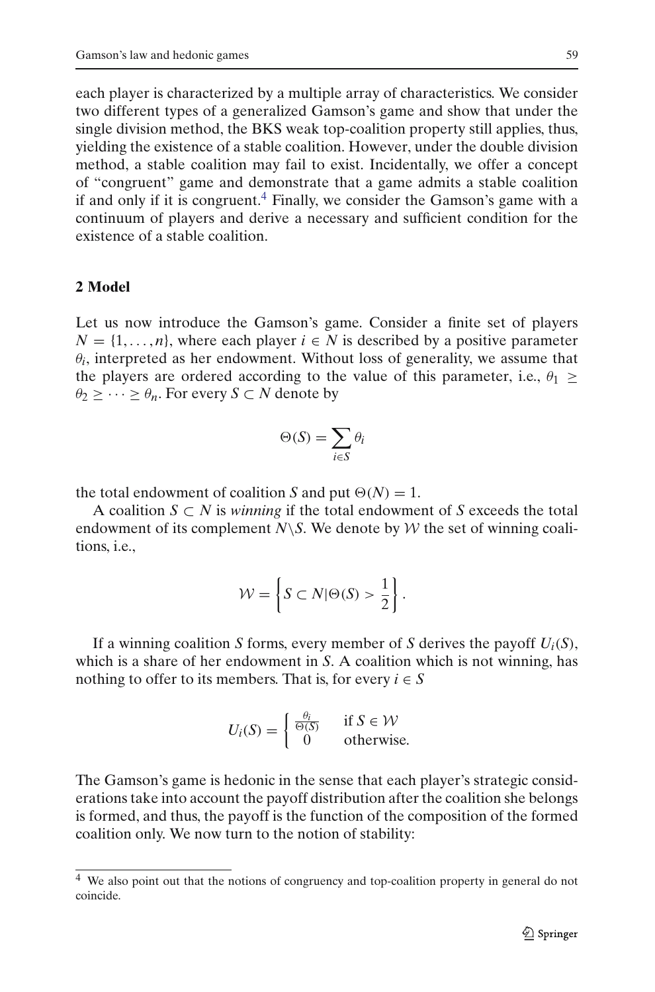each player is characterized by a multiple array of characteristics. We consider two different types of a generalized Gamson's game and show that under the single division method, the BKS weak top-coalition property still applies, thus, yielding the existence of a stable coalition. However, under the double division method, a stable coalition may fail to exist. Incidentally, we offer a concept of "congruent" game and demonstrate that a game admits a stable coalition if and only if it is congruent.<sup>4</sup> Finally, we consider the Gamson's game with a continuum of players and derive a necessary and sufficient condition for the existence of a stable coalition.

#### **2 Model**

Let us now introduce the Gamson's game. Consider a finite set of players  $N = \{1, \ldots, n\}$ , where each player  $i \in N$  is described by a positive parameter  $\theta_i$ , interpreted as her endowment. Without loss of generality, we assume that the players are ordered according to the value of this parameter, i.e.,  $\theta_1 \geq$  $\theta_2 \geq \cdots \geq \theta_n$ . For every *S*  $\subset N$  denote by

$$
\Theta(S) = \sum_{i \in S} \theta_i
$$

the total endowment of coalition *S* and put  $\Theta(N) = 1$ .

A coalition *S* ⊂ *N* is *winning* if the total endowment of *S* exceeds the total endowment of its complement  $N\$ S. We denote by  $W$  the set of winning coalitions, i.e.,

$$
\mathcal{W} = \left\{ S \subset N | \Theta(S) > \frac{1}{2} \right\}.
$$

If a winning coalition *S* forms, every member of *S* derives the payoff  $U_i(S)$ , which is a share of her endowment in *S*. A coalition which is not winning, has nothing to offer to its members. That is, for every  $i \in S$ 

$$
U_i(S) = \begin{cases} \frac{\theta_i}{\Theta(S)} & \text{if } S \in \mathcal{W} \\ 0 & \text{otherwise.} \end{cases}
$$

The Gamson's game is hedonic in the sense that each player's strategic considerations take into account the payoff distribution after the coalition she belongs is formed, and thus, the payoff is the function of the composition of the formed coalition only. We now turn to the notion of stability:

<span id="page-2-0"></span><sup>&</sup>lt;sup>4</sup> We also point out that the notions of congruency and top-coalition property in general do not coincide.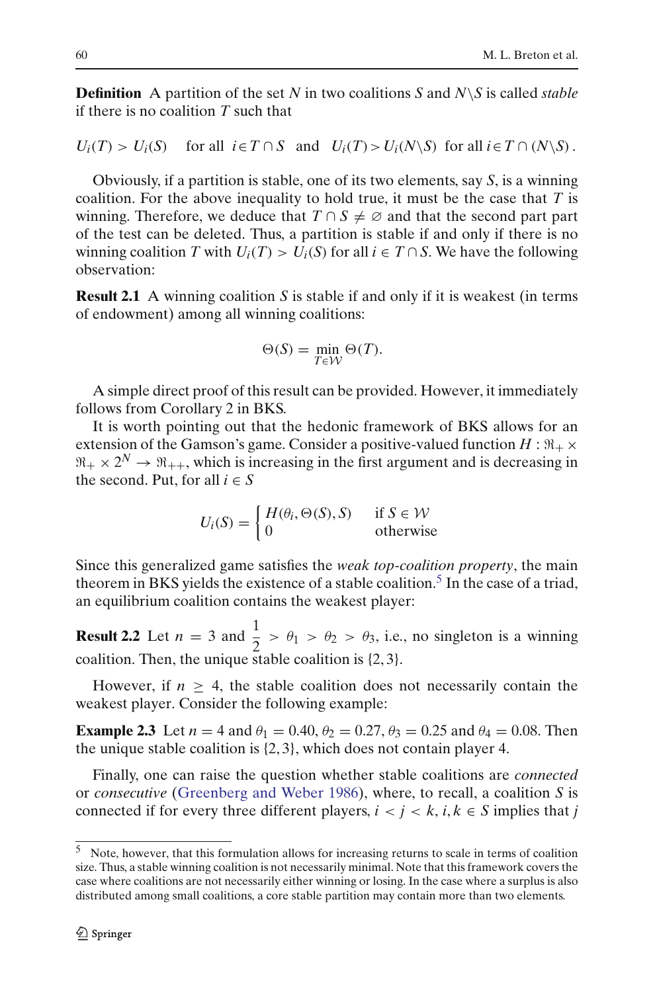**Definition** A partition of the set *N* in two coalitions *S* and *N*\*S* is called *stable* if there is no coalition *T* such that

 $U_i(T) > U_i(S)$  for all  $i \in T \cap S$  and  $U_i(T) > U_i(N \setminus S)$  for all  $i \in T \cap (N \setminus S)$ .

Obviously, if a partition is stable, one of its two elements, say *S*, is a winning coalition. For the above inequality to hold true, it must be the case that *T* is winning. Therefore, we deduce that  $T \cap S \neq \emptyset$  and that the second part part of the test can be deleted. Thus, a partition is stable if and only if there is no winning coalition *T* with  $U_i(T) > U_i(S)$  for all  $i \in T \cap S$ . We have the following observation:

<span id="page-3-1"></span>**Result 2.1** A winning coalition *S* is stable if and only if it is weakest (in terms of endowment) among all winning coalitions:

$$
\Theta(S) = \min_{T \in \mathcal{W}} \Theta(T).
$$

A simple direct proof of this result can be provided. However, it immediately follows from Corollary 2 in BKS.

It is worth pointing out that the hedonic framework of BKS allows for an extension of the Gamson's game. Consider a positive-valued function  $H : \Re_+ \times$  $\mathfrak{R}_+ \times 2^N \to \mathfrak{R}_{++}$ , which is increasing in the first argument and is decreasing in the second. Put, for all  $i \in S$ 

$$
U_i(S) = \begin{cases} H(\theta_i, \Theta(S), S) & \text{if } S \in \mathcal{W} \\ 0 & \text{otherwise} \end{cases}
$$

Since this generalized game satisfies the *weak top-coalition property*, the main theorem in BKS yields the existence of a stable coalition.<sup>5</sup> In the case of a triad, an equilibrium coalition contains the weakest player:

**Result 2.2** Let  $n = 3$  and  $\frac{1}{2} > \theta_1 > \theta_2 > \theta_3$ , i.e., no singleton is a winning coalition. Then, the unique stable coalition is {2, 3}.

However, if  $n \geq 4$ , the stable coalition does not necessarily contain the weakest player. Consider the following example:

**Example 2.3** Let  $n = 4$  and  $\theta_1 = 0.40$ ,  $\theta_2 = 0.27$ ,  $\theta_3 = 0.25$  and  $\theta_4 = 0.08$ . Then the unique stable coalition is {2, 3}, which does not contain player 4.

Finally, one can raise the question whether stable coalitions are *connected* or *consecutive* [\(Greenberg and Weber 1986](#page-10-13)), where, to recall, a coalition *S* is connected if for every three different players,  $i < j < k$ ,  $i, k \in S$  implies that *j* 

<span id="page-3-0"></span><sup>5</sup> Note, however, that this formulation allows for increasing returns to scale in terms of coalition size. Thus, a stable winning coalition is not necessarily minimal. Note that this framework covers the case where coalitions are not necessarily either winning or losing. In the case where a surplus is also distributed among small coalitions, a core stable partition may contain more than two elements.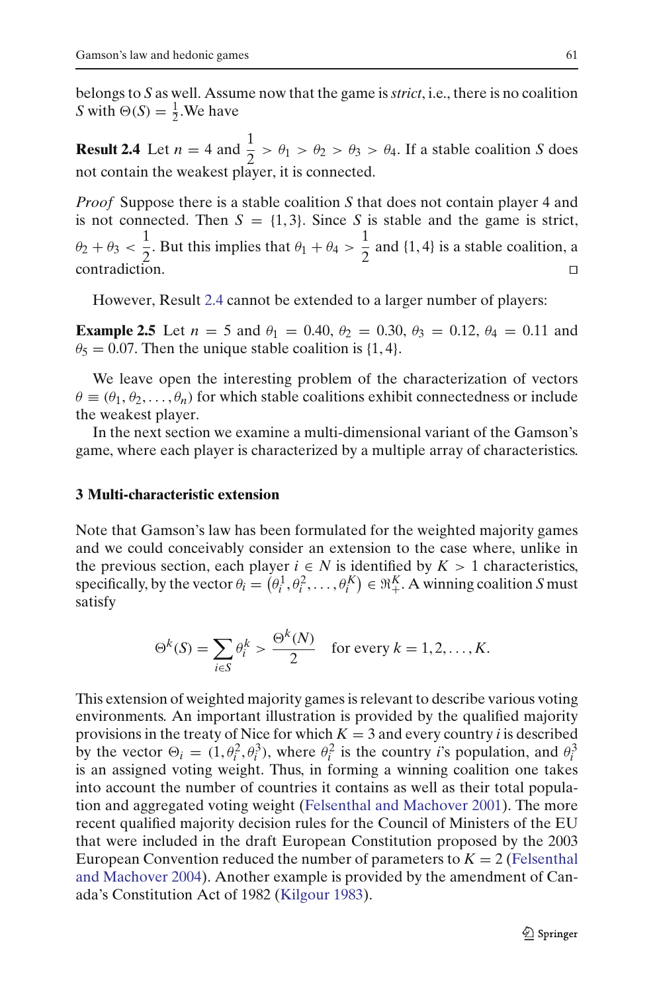<span id="page-4-0"></span>belongs to *S* as well. Assume now that the game is*strict*, i.e., there is no coalition *S* with  $\Theta(S) = \frac{1}{2}$ . We have

**Result 2.4** Let  $n = 4$  and  $\frac{1}{2} > \theta_1 > \theta_2 > \theta_3 > \theta_4$ . If a stable coalition *S* does not contain the weakest player, it is connected.

*Proof* Suppose there is a stable coalition *S* that does not contain player 4 and is not connected. Then  $S = \{1, 3\}$ . Since *S* is stable and the game is strict,  $\theta_2 + \theta_3 < \frac{1}{2}$  $\frac{1}{2}$ . But this implies that  $\theta_1 + \theta_4 > \frac{1}{2}$  $\frac{1}{2}$  and {1, 4} is a stable coalition, a contradiction.

However, Result [2.4](#page-4-0) cannot be extended to a larger number of players:

**Example 2.5** Let  $n = 5$  and  $\theta_1 = 0.40$ ,  $\theta_2 = 0.30$ ,  $\theta_3 = 0.12$ ,  $\theta_4 = 0.11$  and  $\theta_5 = 0.07$ . Then the unique stable coalition is {1, 4}.

We leave open the interesting problem of the characterization of vectors  $\theta \equiv (\theta_1, \theta_2, \dots, \theta_n)$  for which stable coalitions exhibit connectedness or include the weakest player.

In the next section we examine a multi-dimensional variant of the Gamson's game, where each player is characterized by a multiple array of characteristics.

## **3 Multi-characteristic extension**

Note that Gamson's law has been formulated for the weighted majority games and we could conceivably consider an extension to the case where, unlike in the previous section, each player  $i \in N$  is identified by  $K > 1$  characteristics, specifically, by the vector  $\theta_i = (\theta_i^1, \theta_i^2, \dots, \theta_i^K) \in \mathbb{R}_+^K$ . A winning coalition *S* must satisfy

$$
\Theta^k(S) = \sum_{i \in S} \theta_i^k > \frac{\Theta^k(N)}{2} \quad \text{for every } k = 1, 2, \dots, K.
$$

This extension of weighted majority games is relevant to describe various voting environments. An important illustration is provided by the qualified majority provisions in the treaty of Nice for which  $K = 3$  and every country *i* is described by the vector  $\Theta_i = (1, \theta_i^2, \theta_i^3)$ , where  $\theta_i^2$  is the country *i*'s population, and  $\theta_i^3$ is an assigned voting weight. Thus, in forming a winning coalition one takes into account the number of countries it contains as well as their total population and aggregated voting weight [\(Felsenthal and Machover 2001\)](#page-10-14). The more recent qualified majority decision rules for the Council of Ministers of the EU that were included in the draft European Constitution proposed by the 2003 European Co[nvention](#page-10-15) [reduced](#page-10-15) [the](#page-10-15) [number](#page-10-15) [of](#page-10-15) [parameters](#page-10-15) [to](#page-10-15)  $K = 2$  (Felsenthal and Machover [2004](#page-10-15)). Another example is provided by the amendment of Canada's Constitution Act of 1982 [\(Kilgour 1983\)](#page-10-16).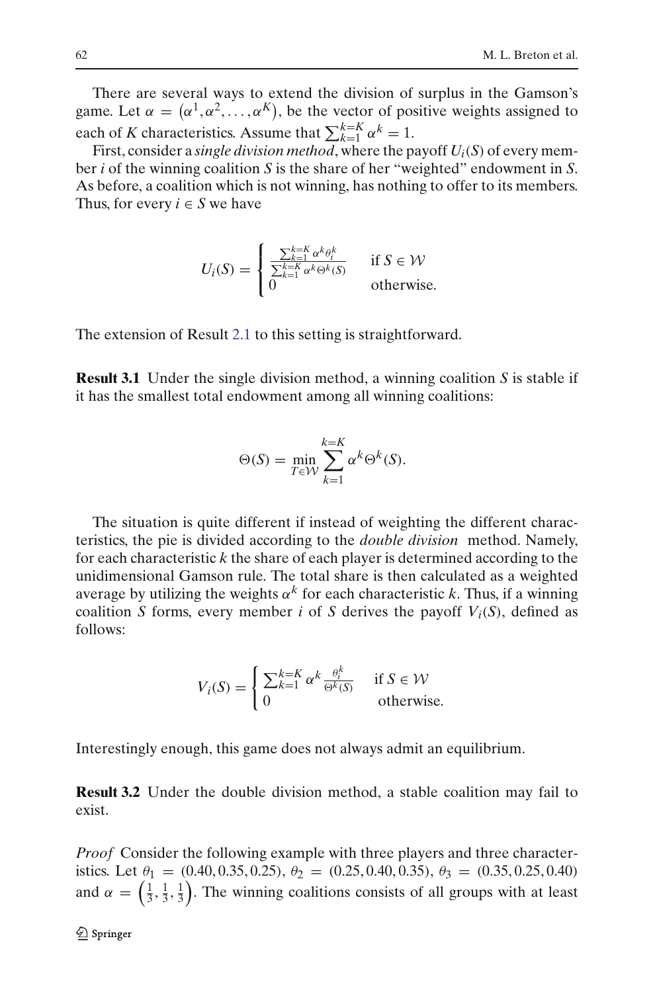There are several ways to extend the division of surplus in the Gamson's game. Let  $\alpha = (\alpha^1, \alpha^2, \dots, \alpha^K)$ , be the vector of positive weights assigned to each of *K* characteristics. Assume that  $\sum_{k=1}^{k=K} \alpha^k = 1$ .

First, consider a *single division method*, where the payoff *Ui*(*S*) of every member *i* of the winning coalition *S* is the share of her "weighted" endowment in *S*. As before, a coalition which is not winning, has nothing to offer to its members. Thus, for every  $i \in S$  we have

$$
U_i(S) = \begin{cases} \frac{\sum_{k=1}^{k=K} \alpha^k \theta_i^k}{\sum_{k=1}^{k=K} \alpha^k \Theta^k(S)} & \text{if } S \in \mathcal{W} \\ 0 & \text{otherwise.} \end{cases}
$$

The extension of Result [2.1](#page-3-1) to this setting is straightforward.

**Result 3.1** Under the single division method, a winning coalition *S* is stable if it has the smallest total endowment among all winning coalitions:

$$
\Theta(S) = \min_{T \in \mathcal{W}} \sum_{k=1}^{k=K} \alpha^k \Theta^k(S).
$$

The situation is quite different if instead of weighting the different characteristics, the pie is divided according to the *double division* method. Namely, for each characteristic *k* the share of each player is determined according to the unidimensional Gamson rule. The total share is then calculated as a weighted average by utilizing the weights  $\alpha^k$  for each characteristic *k*. Thus, if a winning coalition *S* forms, every member *i* of *S* derives the payoff  $V_i(S)$ , defined as follows:

$$
V_i(S) = \begin{cases} \sum_{k=1}^{k=K} \alpha^k \frac{\theta_i^k}{\Theta^k(S)} & \text{if } S \in \mathcal{W} \\ 0 & \text{otherwise.} \end{cases}
$$

Interestingly enough, this game does not always admit an equilibrium.

**Result 3.2** Under the double division method, a stable coalition may fail to exist.

*Proof* Consider the following example with three players and three characteristics. Let  $\theta_1 = (0.40, 0.35, 0.25), \theta_2 = (0.25, 0.40, 0.35), \theta_3 = (0.35, 0.25, 0.40)$ and  $\alpha = \left(\frac{1}{3}, \frac{1}{3}, \frac{1}{3}\right)$ . The winning coalitions consists of all groups with at least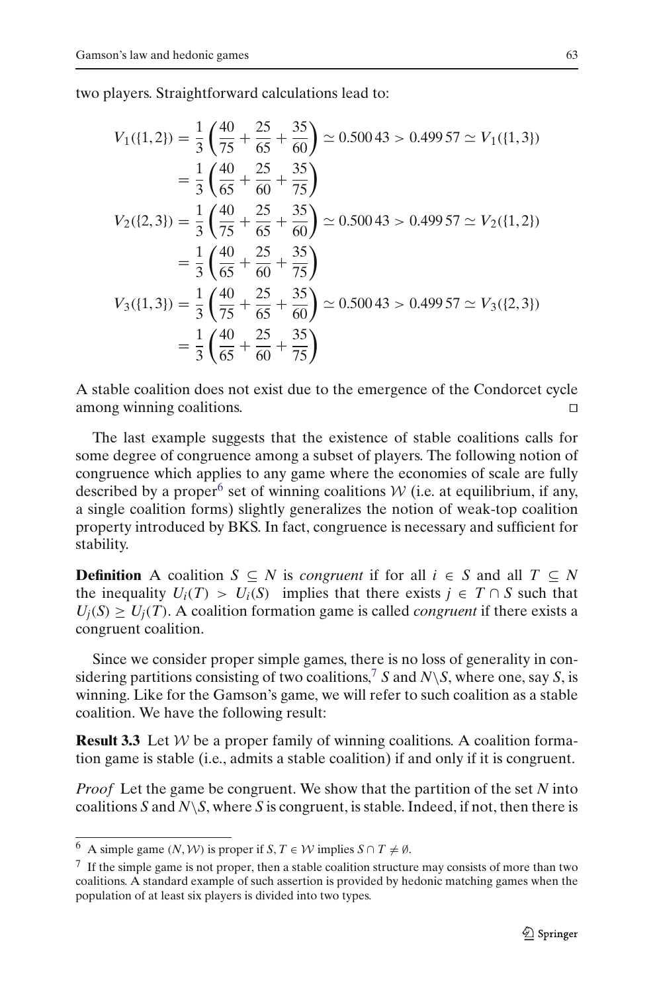two players. Straightforward calculations lead to:

$$
V_1(\{1,2\}) = \frac{1}{3} \left( \frac{40}{75} + \frac{25}{65} + \frac{35}{60} \right) \approx 0.50043 > 0.49957 \approx V_1(\{1,3\})
$$
  
\n
$$
= \frac{1}{3} \left( \frac{40}{65} + \frac{25}{60} + \frac{35}{75} \right)
$$
  
\n
$$
V_2(\{2,3\}) = \frac{1}{3} \left( \frac{40}{75} + \frac{25}{65} + \frac{35}{60} \right) \approx 0.50043 > 0.49957 \approx V_2(\{1,2\})
$$
  
\n
$$
= \frac{1}{3} \left( \frac{40}{65} + \frac{25}{60} + \frac{35}{75} \right)
$$
  
\n
$$
V_3(\{1,3\}) = \frac{1}{3} \left( \frac{40}{75} + \frac{25}{65} + \frac{35}{60} \right) \approx 0.50043 > 0.49957 \approx V_3(\{2,3\})
$$
  
\n
$$
= \frac{1}{3} \left( \frac{40}{65} + \frac{25}{60} + \frac{35}{75} \right)
$$

A stable coalition does not exist due to the emergence of the Condorcet cycle among winning coalitions.

The last example suggests that the existence of stable coalitions calls for some degree of congruence among a subset of players. The following notion of congruence which applies to any game where the economies of scale are fully described by a proper<sup>[6](#page-6-0)</sup> set of winning coalitions  $W$  (i.e. at equilibrium, if any, a single coalition forms) slightly generalizes the notion of weak-top coalition property introduced by BKS. In fact, congruence is necessary and sufficient for stability.

**Definition** A coalition  $S \subseteq N$  is *congruent* if for all  $i \in S$  and all  $T \subseteq N$ the inequality  $U_i(T) > U_i(S)$  implies that there exists  $j \in T \cap S$  such that  $U_i(S) \geq U_i(T)$ . A coalition formation game is called *congruent* if there exists a congruent coalition.

Since we consider proper simple games, there is no loss of generality in con-sidering partitions consisting of two coalitions,<sup>[7](#page-6-1)</sup> *S* and *N*\*S*, where one, say *S*, is winning. Like for the Gamson's game, we will refer to such coalition as a stable coalition. We have the following result:

**Result 3.3** Let *W* be a proper family of winning coalitions. A coalition formation game is stable (i.e., admits a stable coalition) if and only if it is congruent.

*Proof* Let the game be congruent. We show that the partition of the set *N* into coalitions *S* and *N*\*S*, where *S* is congruent, is stable. Indeed, if not, then there is

<sup>6</sup> A simple game  $(N, W)$  is proper if  $S, T \in W$  implies  $S \cap T \neq \emptyset$ .

<span id="page-6-1"></span><span id="page-6-0"></span> $7\,$  If the simple game is not proper, then a stable coalition structure may consists of more than two coalitions. A standard example of such assertion is provided by hedonic matching games when the population of at least six players is divided into two types.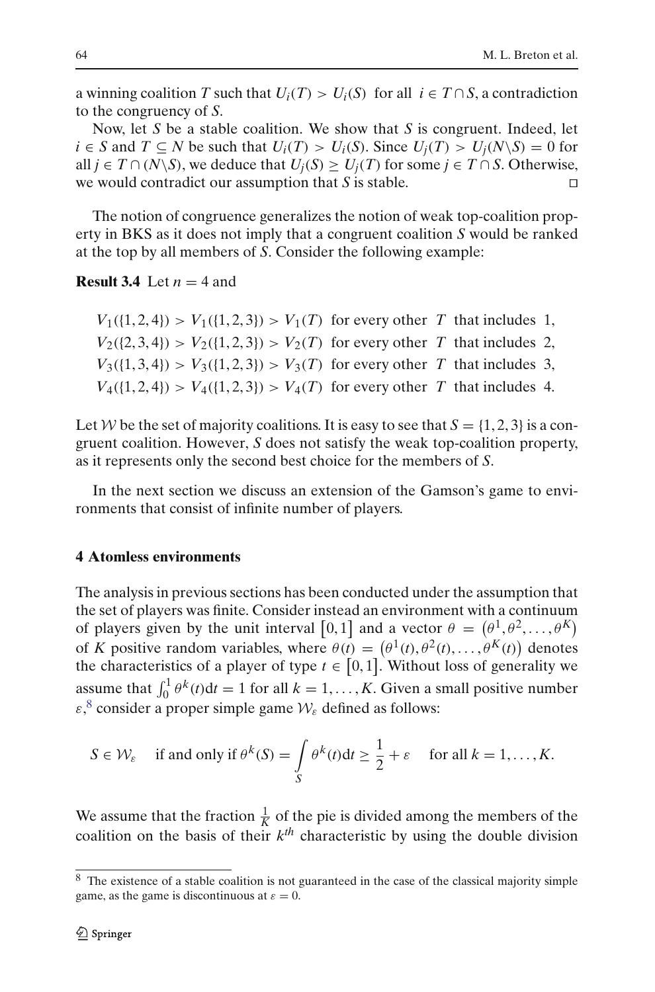a winning coalition *T* such that  $U_i(T) > U_i(S)$  for all  $i \in T \cap S$ , a contradiction to the congruency of *S*.

Now, let *S* be a stable coalition. We show that *S* is congruent. Indeed, let *i* ∈ *S* and *T* ⊆ *N* be such that  $U_i(T) > U_i(S)$ . Since  $U_i(T) > U_i(N\setminus S) = 0$  for all *j* ∈ *T* ∩ (*N*\*S*), we deduce that  $U_i(S) \ge U_i(T)$  for some *j* ∈ *T* ∩ *S*. Otherwise, we would contradict our assumption that *S* is stable. 

The notion of congruence generalizes the notion of weak top-coalition property in BKS as it does not imply that a congruent coalition *S* would be ranked at the top by all members of *S*. Consider the following example:

**Result 3.4** Let  $n = 4$  and

 $V_1({1, 2, 4}) > V_1({1, 2, 3}) > V_1(T)$  for every other *T* that includes 1,  $V_2({2, 3, 4}) > V_2({1, 2, 3}) > V_2(T)$  for every other *T* that includes 2,  $V_3({1, 3, 4}) > V_3({1, 2, 3}) > V_3(T)$  for every other *T* that includes 3,  $V_4({1, 2, 4}) > V_4({1, 2, 3}) > V_4(T)$  for every other *T* that includes 4.

Let *W* be the set of majority coalitions. It is easy to see that  $S = \{1, 2, 3\}$  is a congruent coalition. However, *S* does not satisfy the weak top-coalition property, as it represents only the second best choice for the members of *S*.

In the next section we discuss an extension of the Gamson's game to environments that consist of infinite number of players.

## **4 Atomless environments**

The analysis in previous sections has been conducted under the assumption that the set of players was finite. Consider instead an environment with a continuum of players given by the unit interval [0,1] and a vector  $\theta = (\theta^1, \theta^2, \dots, \theta^K)$ of *K* positive random variables, where  $\theta(t) = (\theta^1(t), \theta^2(t), \dots, \theta^K(t))$  denotes the characteristics of a player of type  $t \in [0,1]$ . Without loss of generality we assume that  $\int_0^1 \theta^k(t) dt = 1$  for all  $k = 1, ..., K$ . Given a small positive number  $\varepsilon$ ,<sup>[8](#page-7-0)</sup> consider a proper simple game  $W_{\varepsilon}$  defined as follows:

$$
S \in \mathcal{W}_{\varepsilon} \quad \text{if and only if } \theta^k(S) = \int_S \theta^k(t) \, \mathrm{d}t \ge \frac{1}{2} + \varepsilon \quad \text{for all } k = 1, \dots, K.
$$

We assume that the fraction  $\frac{1}{K}$  of the pie is divided among the members of the coalition on the basis of their  $k^{th}$  characteristic by using the double division

<span id="page-7-0"></span><sup>&</sup>lt;sup>8</sup> The existence of a stable coalition is not guaranteed in the case of the classical majority simple game, as the game is discontinuous at  $\varepsilon = 0$ .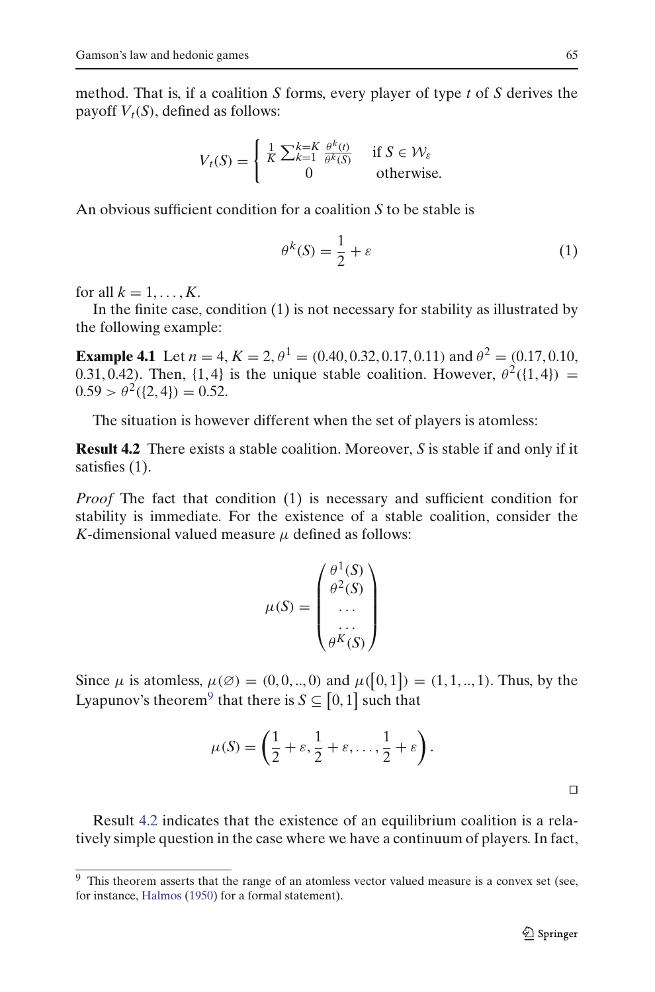method. That is, if a coalition *S* forms, every player of type *t* of *S* derives the payoff  $V_t(S)$ , defined as follows:

$$
V_t(S) = \begin{cases} \frac{1}{K} \sum_{k=1}^{k=K} \frac{\theta^k(t)}{\theta^k(S)} & \text{if } S \in \mathcal{W}_{\varepsilon} \\ 0 & \text{otherwise.} \end{cases}
$$

An obvious sufficient condition for a coalition *S* to be stable is

$$
\theta^k(S) = \frac{1}{2} + \varepsilon \tag{1}
$$

for all  $k = 1, \ldots, K$ .

In the finite case, condition (1) is not necessary for stability as illustrated by the following example:

**Example 4.1** Let  $n = 4$ ,  $K = 2$ ,  $\theta^1 = (0.40, 0.32, 0.17, 0.11)$  and  $\theta^2 = (0.17, 0.10, 0.11)$ 0.31, 0.42). Then, {1, 4} is the unique stable coalition. However,  $\theta^2({1, 4}) =$  $0.59 > \theta^2({2, 4}) = 0.52.$ 

The situation is however different when the set of players is atomless:

**Result 4.2** There exists a stable coalition. Moreover, *S* is stable if and only if it satisfies (1).

*Proof* The fact that condition (1) is necessary and sufficient condition for stability is immediate. For the existence of a stable coalition, consider the *K*-dimensional valued measure  $\mu$  defined as follows:

<span id="page-8-1"></span>
$$
\mu(S) = \begin{pmatrix} \theta^1(S) \\ \theta^2(S) \\ \dots \\ \theta^K(S) \end{pmatrix}
$$

Since  $\mu$  is atomless,  $\mu(\emptyset) = (0, 0, ..., 0)$  and  $\mu([0, 1]) = (1, 1, ..., 1)$ . Thus, by the Lyapunov's theorem<sup>[9](#page-8-0)</sup> that there is  $S \subseteq [0,1]$  such that

$$
\mu(S) = \left(\frac{1}{2} + \varepsilon, \frac{1}{2} + \varepsilon, \dots, \frac{1}{2} + \varepsilon\right).
$$

Result [4.2](#page-8-1) indicates that the existence of an equilibrium coalition is a relatively simple question in the case where we have a continuum of players. In fact,

 $\Box$ 

<span id="page-8-0"></span> $9$  This theorem asserts that the range of an atomless vector valued measure is a convex set (see, for instance, [Halmos](#page-10-17) [\(1950](#page-10-17)) for a formal statement).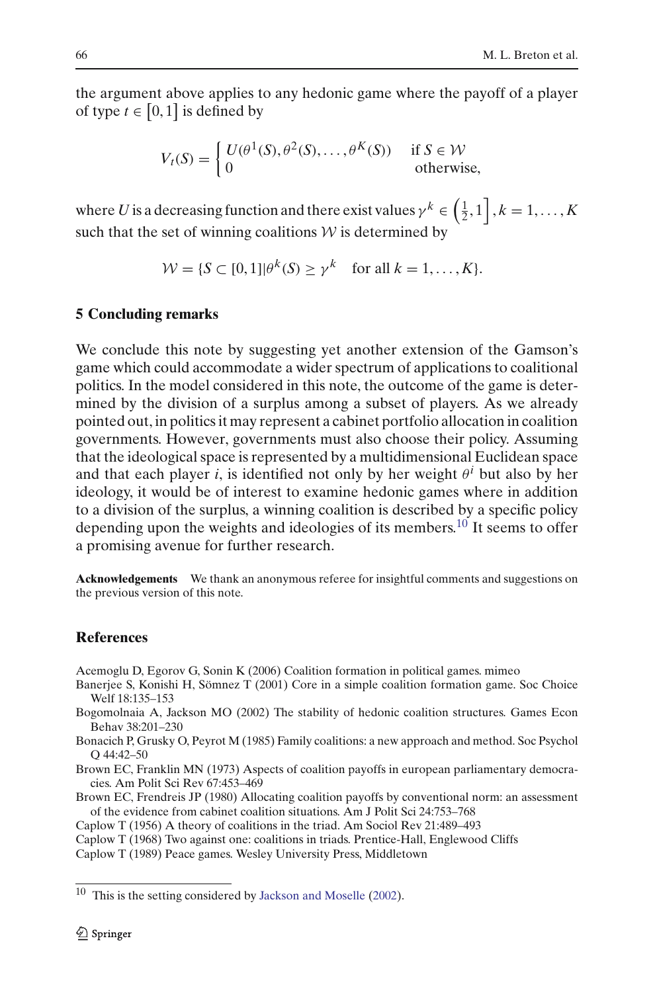the argument above applies to any hedonic game where the payoff of a player of type  $t \in [0,1]$  is defined by

$$
V_t(S) = \begin{cases} U(\theta^1(S), \theta^2(S), \dots, \theta^K(S)) & \text{if } S \in \mathcal{W} \\ 0 & \text{otherwise,} \end{cases}
$$

where *U* is a decreasing function and there exist values  $\gamma^k \in \left(\frac{1}{2}, 1\right], k = 1, \ldots, K$ such that the set of winning coalitions  $W$  is determined by

$$
\mathcal{W} = \{ S \subset [0,1] | \theta^k(S) \ge \gamma^k \quad \text{for all } k = 1,\ldots, K \}.
$$

### **5 Concluding remarks**

We conclude this note by suggesting yet another extension of the Gamson's game which could accommodate a wider spectrum of applications to coalitional politics. In the model considered in this note, the outcome of the game is determined by the division of a surplus among a subset of players. As we already pointed out, in politics it may represent a cabinet portfolio allocation in coalition governments. However, governments must also choose their policy. Assuming that the ideological space is represented by a multidimensional Euclidean space and that each player *i*, is identified not only by her weight  $\theta^i$  but also by her ideology, it would be of interest to examine hedonic games where in addition to a division of the surplus, a winning coalition is described by a specific policy depending upon the weights and ideologies of its members.<sup>10</sup> It seems to offer a promising avenue for further research.

**Acknowledgements** We thank an anonymous referee for insightful comments and suggestions on the previous version of this note.

### **References**

<span id="page-9-8"></span>Acemoglu D, Egorov G, Sonin K (2006) Coalition formation in political games. mimeo

- <span id="page-9-4"></span>Banerjee S, Konishi H, Sömnez T (2001) Core in a simple coalition formation game. Soc Choice Welf 18:135–153
- <span id="page-9-5"></span>Bogomolnaia A, Jackson MO (2002) The stability of hedonic coalition structures. Games Econ Behav 38:201–230
- <span id="page-9-1"></span>Bonacich P, Grusky O, Peyrot M (1985) Family coalitions: a new approach and method. Soc Psychol Q 44:42–50

<span id="page-9-6"></span>Brown EC, Franklin MN (1973) Aspects of coalition payoffs in european parliamentary democracies. Am Polit Sci Rev 67:453–469

<span id="page-9-7"></span>Brown EC, Frendreis JP (1980) Allocating coalition payoffs by conventional norm: an assessment of the evidence from cabinet coalition situations. Am J Polit Sci 24:753–768

<span id="page-9-0"></span>Caplow T (1956) A theory of coalitions in the triad. Am Sociol Rev 21:489–493

<span id="page-9-2"></span>Caplow T (1968) Two against one: coalitions in triads. Prentice-Hall, Englewood Cliffs

<span id="page-9-3"></span>Caplow T (1989) Peace games. Wesley University Press, Middletown

<span id="page-9-9"></span><sup>10</sup> This is the setting considered by [Jackson and Moselle](#page-10-18) [\(2002](#page-10-18)).